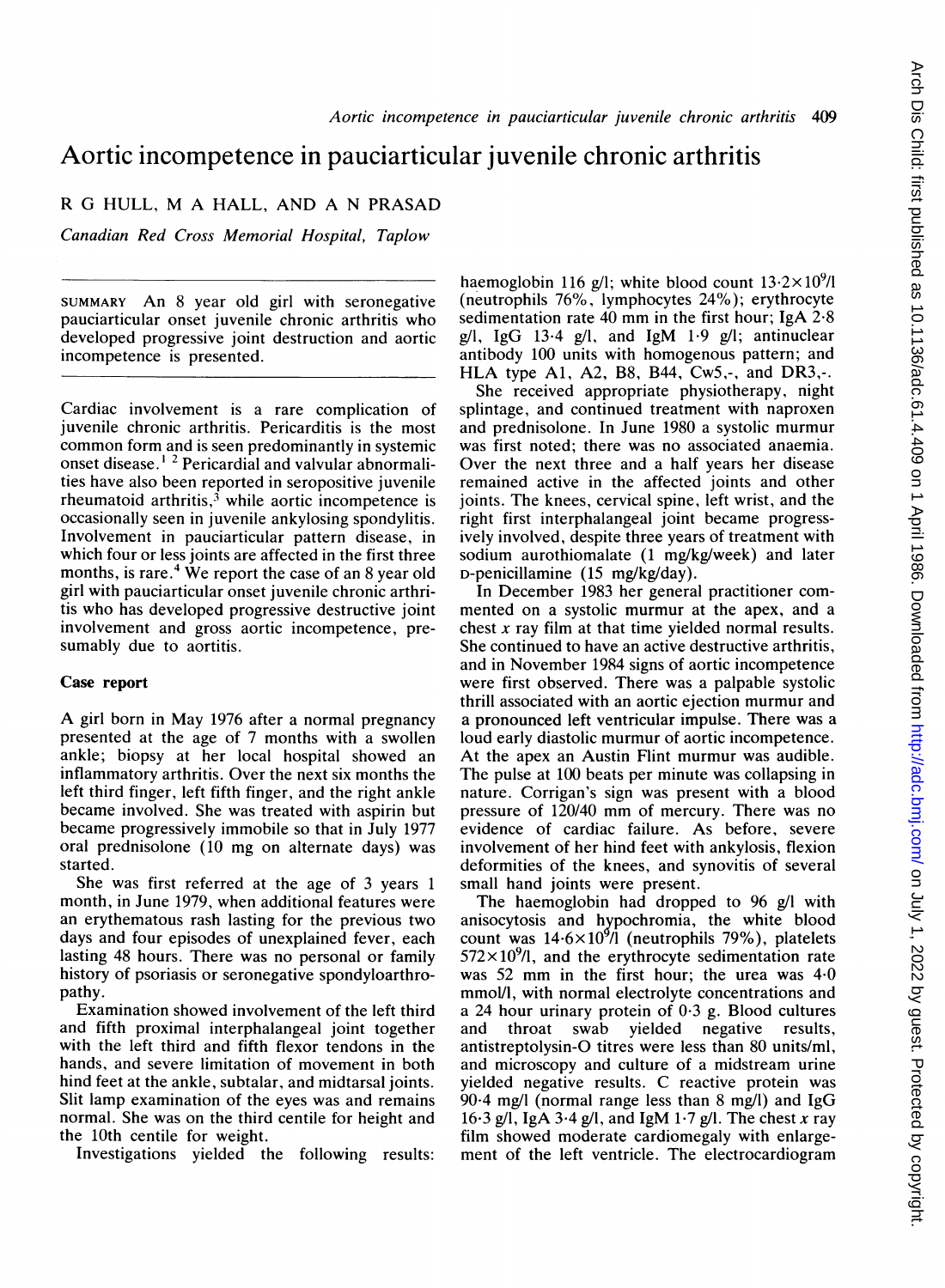## Aortic incompetence in pauciarticular juvenile chronic arthritis

R G HULL, M A HALL, AND A N PRASAD

Canadian Red Cross Memorial Hospital, Taplow

SUMMARY An <sup>8</sup> year old girl with seronegative pauciarticular onset juvenile chronic arthritis who developed progressive joint destruction and aortic incompetence is presented.

Cardiac involvement is a rare complication of juvenile chronic arthritis. Pericarditis is the most common form and is seen predominantly in systemic onset disease.<sup>12</sup> Pericardial and valvular abnormalities have also been reported in seropositive juvenile rheumatoid arthritis, $3$  while aortic incompetence is occasionally seen in juvenile ankylosing spondylitis. Involvement in pauciarticular pattern disease, in which four or less joints are affected in the first three months, is rare.<sup>4</sup> We report the case of an  $\delta$  year old girl with pauciarticular onset juvenile chronic arthritis who has developed progressive destructive joint involvement and gross aortic incompetence, presumably due to aortitis.

## Case report

A girl born in May <sup>1976</sup> after <sup>a</sup> normal pregnancy presented at the age of 7 months with a swollen ankle; biopsy at her local hospital showed an inflammatory arthritis. Over the next six months the left third finger, left fifth finger, and the right ankle became involved. She was treated with aspirin but became progressively immobile so that in July 1977 oral prednisolone (10 mg on alternate days) was started.

She was first referred at the age of 3 years <sup>1</sup> month, in June 1979, when additional features were an erythematous rash lasting for the previous two days and four episodes of unexplained fever, each lasting 48 hours. There was no personal or family history of psoriasis or seronegative spondyloarthropathy.

Examination showed involvement of the left third and fifth proximal interphalangeal joint together with the left third and fifth flexor tendons in the hands, and severe limitation of movement in both hind feet at the ankle, subtalar, and midtarsal joints. Slit lamp examination of the eyes was and remains normal. She was on the third centile for height and the 10th centile for weight.

Investigations yielded the following results:

haemoglobin 116 g/l; white blood count  $13.2\times10^{9}$ /l (neutrophils 76%, lymphocytes 24%); erythrocyte sedimentation rate <sup>40</sup> mm in the first hour; IgA 2-8 g/l, IgG 13.4 g/l, and IgM  $1.9$  g/l; antinuclear antibody 100 units with homogenous pattern; and HLA type Al, A2, B8, B44, Cw5,-, and DR3,-.

She received appropriate physiotherapy, night splintage, and continued treatment with naproxen and prednisolone. In June 1980 a systolic murmur was first noted; there was no associated anaemia. Over the next three and a half years her disease remained active in the affected joints and other joints. The knees, cervical spine, left wrist, and the right first interphalangeal joint became progressively involved, despite three years of treatment with sodium aurothiomalate (1 mg/kg/week) and later D-penicillamine (15 mg/kg/day).

In December 1983 her general practitioner commented on a systolic murmur at the apex, and a chest  $x$  ray film at that time yielded normal results. She continued to have an active destructive arthritis, and in November 1984 signs of aortic incompetence were first observed. There was a palpable systolic thrill associated with an aortic ejection murmur and a pronounced left ventricular impulse. There was a loud early diastolic murmur of aortic incompetence. At the apex an Austin Flint murmur was audible. The pulse at 100 beats per minute was collapsing in nature. Corrigan's sign was present with a blood pressure of 120/40 mm of mercury. There was no evidence of cardiac failure. As before, severe involvement of her hind feet with ankylosis, flexion deformities of the knees, and synovitis of several small hand joints were present.

The haemoglobin had dropped to  $96 \text{ g/l}$  with anisocytosis and hypochromia, the white blood count was  $14.6 \times 10^{9}$ /1 (neutrophils 79%), platelets  $572\times10^{9}$ , and the erythrocyte sedimentation rate was 52 mm in the first hour; the urea was  $4-0$ mmol/l, with normal electrolyte concentrations and a 24 hour urinary protein of 0-3 g. Blood cultures and throat swab yielded negative results, antistreptolysin-O titres were less than 80 units/ml, and microscopy and culture of a midstream urine yielded negative results. C reactive protein was  $90·4$  mg/l (normal range less than 8 mg/l) and IgG 16.3 g/l, IgA 3.4 g/l, and IgM 1.7 g/l. The chest x ray film showed moderate cardiomegaly with enlargement of the left ventricle. The electrocardiogram